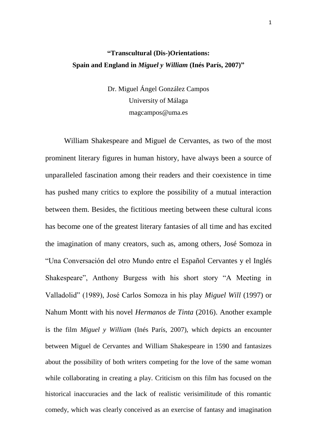## **"Transcultural (Dis-)Orientations: Spain and England in** *Miguel y William* **(Inés París, 2007)"**

Dr. Miguel Ángel González Campos University of Málaga magcampos@uma.es

William Shakespeare and Miguel de Cervantes, as two of the most prominent literary figures in human history, have always been a source of unparalleled fascination among their readers and their coexistence in time has pushed many critics to explore the possibility of a mutual interaction between them. Besides, the fictitious meeting between these cultural icons has become one of the greatest literary fantasies of all time and has excited the imagination of many creators, such as, among others, José Somoza in "Una Conversación del otro Mundo entre el Español Cervantes y el Inglés Shakespeare", Anthony Burgess with his short story "A Meeting in Valladolid" (1989), José Carlos Somoza in his play *Miguel Will* (1997) or Nahum Montt with his novel *Hermanos de Tinta* (2016). Another example is the film *Miguel y William* (Inés París, 2007), which depicts an encounter between Miguel de Cervantes and William Shakespeare in 1590 and fantasizes about the possibility of both writers competing for the love of the same woman while collaborating in creating a play. Criticism on this film has focused on the historical inaccuracies and the lack of realistic verisimilitude of this romantic comedy, which was clearly conceived as an exercise of fantasy and imagination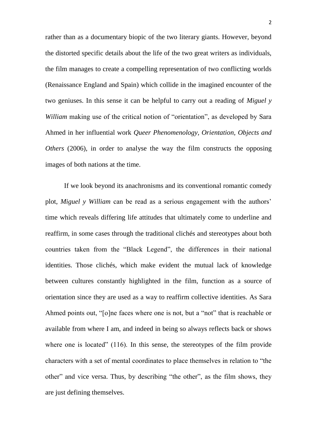rather than as a documentary biopic of the two literary giants. However, beyond the distorted specific details about the life of the two great writers as individuals, the film manages to create a compelling representation of two conflicting worlds (Renaissance England and Spain) which collide in the imagined encounter of the two geniuses. In this sense it can be helpful to carry out a reading of *Miguel y William* making use of the critical notion of "orientation", as developed by Sara Ahmed in her influential work *Queer Phenomenology, Orientation, Objects and Others* (2006), in order to analyse the way the film constructs the opposing images of both nations at the time.

If we look beyond its anachronisms and its conventional romantic comedy plot, *Miguel y William* can be read as a serious engagement with the authors' time which reveals differing life attitudes that ultimately come to underline and reaffirm, in some cases through the traditional clichés and stereotypes about both countries taken from the "Black Legend", the differences in their national identities. Those clichés, which make evident the mutual lack of knowledge between cultures constantly highlighted in the film, function as a source of orientation since they are used as a way to reaffirm collective identities. As Sara Ahmed points out, "[o]ne faces where one is not, but a "not" that is reachable or available from where I am, and indeed in being so always reflects back or shows where one is located" (116). In this sense, the stereotypes of the film provide characters with a set of mental coordinates to place themselves in relation to "the other" and vice versa. Thus, by describing "the other", as the film shows, they are just defining themselves.